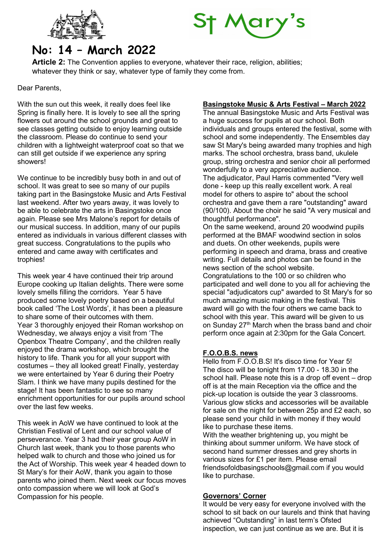



# No: 14 – March 2022

Article 2: The Convention applies to everyone, whatever their race, religion, abilities; whatever they think or say, whatever type of family they come from.

Dear Parents,

With the sun out this week, it really does feel like Spring is finally here. It is lovely to see all the spring flowers out around the school grounds and great to see classes getting outside to enjoy learning outside the classroom. Please do continue to send your children with a lightweight waterproof coat so that we can still get outside if we experience any spring showers!

We continue to be incredibly busy both in and out of school. It was great to see so many of our pupils taking part in the Basingstoke Music and Arts Festival last weekend. After two years away, it was lovely to be able to celebrate the arts in Basingstoke once again. Please see Mrs Malone's report for details of our musical success. In addition, many of our pupils entered as individuals in various different classes with great success. Congratulations to the pupils who entered and came away with certificates and trophies!

This week year 4 have continued their trip around Europe cooking up Italian delights. There were some lovely smells filling the corridors. Year 5 have produced some lovely poetry based on a beautiful book called 'The Lost Words', it has been a pleasure to share some of their outcomes with them. Year 3 thoroughly enjoyed their Roman workshop on Wednesday, we always enjoy a visit from 'The Openbox Theatre Company', and the children really enjoyed the drama workshop, which brought the history to life. Thank you for all your support with costumes – they all looked great! Finally, yesterday we were entertained by Year 6 during their Poetry Slam. I think we have many pupils destined for the stage! It has been fantastic to see so many enrichment opportunities for our pupils around school over the last few weeks.

This week in AoW we have continued to look at the Christian Festival of Lent and our school value of perseverance. Year 3 had their year group AoW in Church last week, thank you to those parents who helped walk to church and those who joined us for the Act of Worship. This week year 4 headed down to St Mary's for their AoW, thank you again to those parents who joined them. Next week our focus moves onto compassion where we will look at God's Compassion for his people.

# Basingstoke Music & Arts Festival – March 2022

The annual Basingstoke Music and Arts Festival was a huge success for pupils at our school. Both individuals and groups entered the festival, some with school and some independently. The Ensembles day saw St Mary's being awarded many trophies and high marks. The school orchestra, brass band, ukulele group, string orchestra and senior choir all performed wonderfully to a very appreciative audience. The adjudicator, Paul Harris commented "Very well done - keep up this really excellent work. A real model for others to aspire to" about the school orchestra and gave them a rare "outstanding" award (90/100). About the choir he said "A very musical and thoughtful performance".

On the same weekend, around 20 woodwind pupils performed at the BMAF woodwind section in solos and duets. On other weekends, pupils were performing in speech and drama, brass and creative writing. Full details and photos can be found in the news section of the school website. Congratulations to the 100 or so children who participated and well done to you all for achieving the special "adjudicators cup" awarded to St Mary's for so much amazing music making in the festival. This award will go with the four others we came back to school with this year. This award will be given to us on Sunday 27<sup>th</sup> March when the brass band and choir perform once again at 2:30pm for the Gala Concert.

#### F.O.O.B.S. news

Hello from F.O.O.B.S! It's disco time for Year 5! The disco will be tonight from 17.00 - 18.30 in the school hall. Please note this is a drop off event – drop off is at the main Reception via the office and the pick-up location is outside the year 3 classrooms. Various glow sticks and accessories will be available for sale on the night for between 25p and £2 each, so please send your child in with money if they would like to purchase these items.

With the weather brightening up, you might be thinking about summer uniform. We have stock of second hand summer dresses and grey shorts in various sizes for £1 per item. Please email friendsofoldbasingschools@gmail.com if you would like to purchase.

#### Governors' Corner

It would be very easy for everyone involved with the school to sit back on our laurels and think that having achieved "Outstanding" in last term's Ofsted inspection, we can just continue as we are. But it is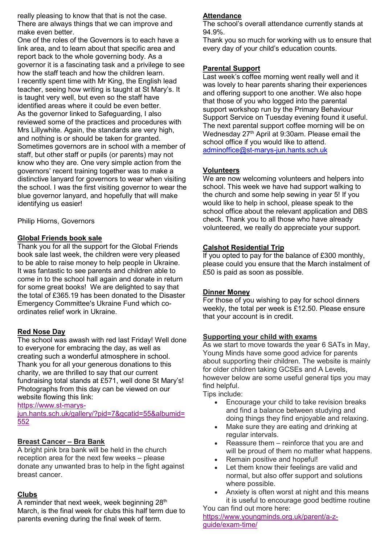really pleasing to know that that is not the case. There are always things that we can improve and make even better.

One of the roles of the Governors is to each have a link area, and to learn about that specific area and report back to the whole governing body. As a governor it is a fascinating task and a privilege to see how the staff teach and how the children learn. I recently spent time with Mr King, the English lead teacher, seeing how writing is taught at St Mary's. It is taught very well, but even so the staff have identified areas where it could be even better. As the governor linked to Safeguarding, I also reviewed some of the practices and procedures with Mrs Lillywhite. Again, the standards are very high, and nothing is or should be taken for granted. Sometimes governors are in school with a member of staff, but other staff or pupils (or parents) may not know who they are. One very simple action from the governors' recent training together was to make a distinctive lanyard for governors to wear when visiting the school. I was the first visiting governor to wear the blue governor lanyard, and hopefully that will make identifying us easier!

Philip Hiorns, Governors

## Global Friends book sale

Thank you for all the support for the Global Friends book sale last week, the children were very pleased to be able to raise money to help people in Ukraine. It was fantastic to see parents and children able to come in to the school hall again and donate in return for some great books! We are delighted to say that the total of £365.19 has been donated to the Disaster Emergency Committee's Ukraine Fund which coordinates relief work in Ukraine.

# Red Nose Day

The school was awash with red last Friday! Well done to everyone for embracing the day, as well as creating such a wonderful atmosphere in school. Thank you for all your generous donations to this charity, we are thrilled to say that our current fundraising total stands at £571, well done St Mary's! Photographs from this day can be viewed on our website flowing this link:

https://www.st-marys-

jun.hants.sch.uk/gallery/?pid=7&gcatid=55&albumid= 552

# Breast Cancer – Bra Bank

A bright pink bra bank will be held in the church reception area for the next few weeks – please donate any unwanted bras to help in the fight against breast cancer.

# Clubs

A reminder that next week, week beginning 28<sup>th</sup> March, is the final week for clubs this half term due to parents evening during the final week of term.

#### **Attendance**

The school's overall attendance currently stands at 94.9%.

Thank you so much for working with us to ensure that every day of your child's education counts.

#### Parental Support

Last week's coffee morning went really well and it was lovely to hear parents sharing their experiences and offering support to one another. We also hope that those of you who logged into the parental support workshop run by the Primary Behaviour Support Service on Tuesday evening found it useful. The next parental support coffee morning will be on Wednesday 27th April at 9:30am. Please email the school office if you would like to attend. adminoffice@st-marys-jun.hants.sch.uk

## Volunteers

We are now welcoming volunteers and helpers into school. This week we have had support walking to the church and some help sewing in year 5! If you would like to help in school, please speak to the school office about the relevant application and DBS check. Thank you to all those who have already volunteered, we really do appreciate your support.

## Calshot Residential Trip

If you opted to pay for the balance of £300 monthly, please could you ensure that the March instalment of £50 is paid as soon as possible.

#### Dinner Money

For those of you wishing to pay for school dinners weekly, the total per week is £12.50. Please ensure that your account is in credit.

#### Supporting your child with exams

As we start to move towards the year 6 SATs in May, Young Minds have some good advice for parents about supporting their children. The website is mainly for older children taking GCSEs and A Levels, however below are some useful general tips you may find helpful.

Tips include:

- Encourage your child to take revision breaks and find a balance between studying and doing things they find enjoyable and relaxing.
- Make sure they are eating and drinking at regular intervals.
- Reassure them reinforce that you are and will be proud of them no matter what happens.
- Remain positive and hopeful!
- Let them know their feelings are valid and normal, but also offer support and solutions where possible.
- Anxiety is often worst at night and this means it is useful to encourage good bedtime routine You can find out more here:

https://www.youngminds.org.uk/parent/a-zguide/exam-time/